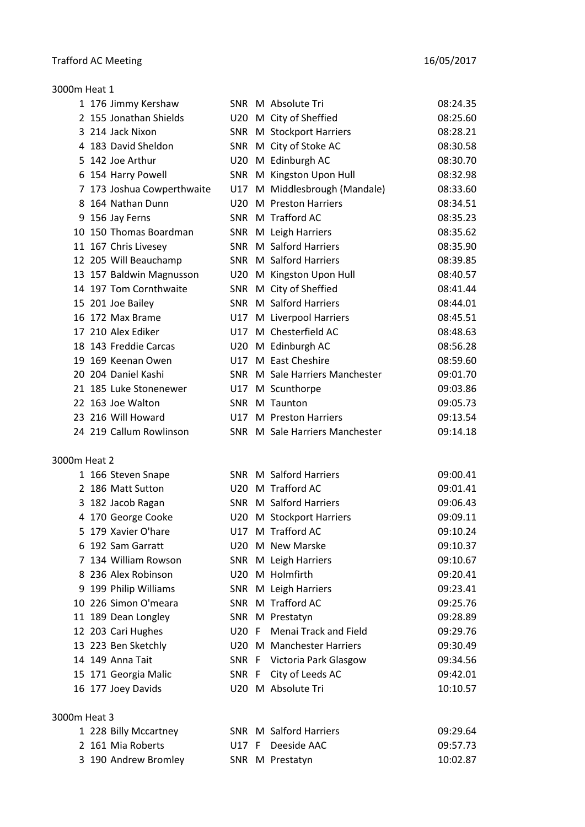| 3000m Heat 1 |                            |            |                                |          |
|--------------|----------------------------|------------|--------------------------------|----------|
|              | 1 176 Jimmy Kershaw        |            | SNR M Absolute Tri             | 08:24.35 |
|              | 2 155 Jonathan Shields     | U20        | M City of Sheffied             | 08:25.60 |
|              | 3 214 Jack Nixon           | SNR        | M Stockport Harriers           | 08:28.21 |
|              | 4 183 David Sheldon        | SNR        | M City of Stoke AC             | 08:30.58 |
|              | 5 142 Joe Arthur           | U20        | M Edinburgh AC                 | 08:30.70 |
|              | 6 154 Harry Powell         | SNR        | M Kingston Upon Hull           | 08:32.98 |
|              | 7 173 Joshua Cowperthwaite | U17        | M Middlesbrough (Mandale)      | 08:33.60 |
|              | 8 164 Nathan Dunn          |            | U20 M Preston Harriers         | 08:34.51 |
|              | 9 156 Jay Ferns            | SNR        | M Trafford AC                  | 08:35.23 |
|              | 10 150 Thomas Boardman     | SNR        | M Leigh Harriers               | 08:35.62 |
|              | 11 167 Chris Livesey       | SNR        | M Salford Harriers             | 08:35.90 |
|              | 12 205 Will Beauchamp      | <b>SNR</b> | M Salford Harriers             | 08:39.85 |
|              | 13 157 Baldwin Magnusson   | U20        | M Kingston Upon Hull           | 08:40.57 |
|              | 14 197 Tom Cornthwaite     | SNR        | M City of Sheffied             | 08:41.44 |
|              | 15 201 Joe Bailey          | <b>SNR</b> | M Salford Harriers             | 08:44.01 |
|              | 16 172 Max Brame           | U17        | M Liverpool Harriers           | 08:45.51 |
|              | 17 210 Alex Ediker         | U17        | M Chesterfield AC              | 08:48.63 |
|              | 18 143 Freddie Carcas      |            | U20 M Edinburgh AC             | 08:56.28 |
|              | 19 169 Keenan Owen         | U17        | M East Cheshire                | 08:59.60 |
|              | 20 204 Daniel Kashi        |            | SNR M Sale Harriers Manchester | 09:01.70 |
|              | 21 185 Luke Stonenewer     | U17        | M Scunthorpe                   | 09:03.86 |
|              | 22 163 Joe Walton          | SNR        | M Taunton                      | 09:05.73 |
|              | 23 216 Will Howard         | U17        | M Preston Harriers             | 09:13.54 |
|              | 24 219 Callum Rowlinson    |            | SNR M Sale Harriers Manchester | 09:14.18 |
| 3000m Heat 2 |                            |            |                                |          |
|              | 1 166 Steven Snape         |            | SNR M Salford Harriers         | 09:00.41 |
|              | 2 186 Matt Sutton          | U20        | M Trafford AC                  | 09:01.41 |

| $100$ steven simple   |       |                             |          |
|-----------------------|-------|-----------------------------|----------|
| 2 186 Matt Sutton     |       | U20 M Trafford AC           | 09:01.41 |
| 3 182 Jacob Ragan     |       | SNR M Salford Harriers      | 09:06.43 |
| 4 170 George Cooke    |       | U20 M Stockport Harriers    | 09:09.11 |
| 5 179 Xavier O'hare   |       | U17 M Trafford AC           | 09:10.24 |
| 6 192 Sam Garratt     |       | U20 M New Marske            | 09:10.37 |
| 7 134 William Rowson  |       | SNR M Leigh Harriers        | 09:10.67 |
| 8 236 Alex Robinson   |       | U20 M Holmfirth             | 09:20.41 |
| 9 199 Philip Williams |       | SNR M Leigh Harriers        | 09:23.41 |
| 10 226 Simon O'meara  |       | SNR M Trafford AC           | 09:25.76 |
| 11 189 Dean Longley   |       | SNR M Prestatyn             | 09:28.89 |
| 12 203 Cari Hughes    |       | U20 F Menai Track and Field | 09:29.76 |
| 13 223 Ben Sketchly   |       | U20 M Manchester Harriers   | 09:30.49 |
| 14 149 Anna Tait      |       | SNR F Victoria Park Glasgow | 09:34.56 |
| 15 171 Georgia Malic  | SNR F | City of Leeds AC            | 09:42.01 |
| 16 177 Joey Davids    |       | U20 M Absolute Tri          | 10:10.57 |

#### 3000m Heat 3

| 1 228 Billy Mccartney |  | SNR M Salford Harriers | 09:29.64 |
|-----------------------|--|------------------------|----------|
| 2 161 Mia Roberts     |  | U17 F Deeside AAC      | 09:57.73 |
| 3 190 Andrew Bromley  |  | SNR M Prestatyn        | 10:02.87 |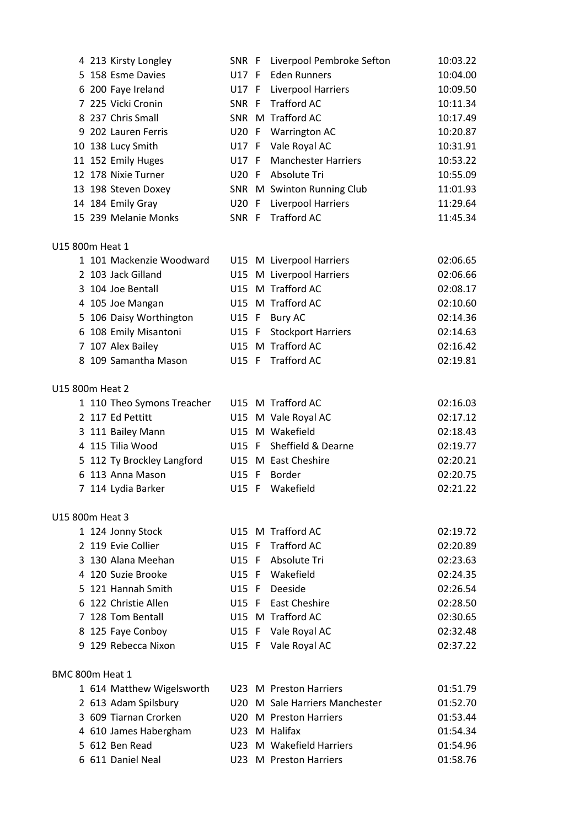|                 | 4 213 Kirsty Longley       |         | SNR F Liverpool Pembroke Sefton | 10:03.22 |
|-----------------|----------------------------|---------|---------------------------------|----------|
|                 | 5 158 Esme Davies          | U17 F   | <b>Eden Runners</b>             | 10:04.00 |
|                 | 6 200 Faye Ireland         | U17 F   | Liverpool Harriers              | 10:09.50 |
|                 | 7 225 Vicki Cronin         | SNR F   | <b>Trafford AC</b>              | 10:11.34 |
|                 | 8 237 Chris Small          |         | SNR M Trafford AC               | 10:17.49 |
|                 | 9 202 Lauren Ferris        |         | U20 F Warrington AC             | 10:20.87 |
|                 | 10 138 Lucy Smith          | U17 F   | Vale Royal AC                   | 10:31.91 |
|                 | 11 152 Emily Huges         | U17 F   | <b>Manchester Harriers</b>      | 10:53.22 |
|                 | 12 178 Nixie Turner        | U20 F   | Absolute Tri                    | 10:55.09 |
|                 | 13 198 Steven Doxey        |         | SNR M Swinton Running Club      | 11:01.93 |
|                 | 14 184 Emily Gray          | U20 F   | Liverpool Harriers              | 11:29.64 |
|                 | 15 239 Melanie Monks       | SNR F   | <b>Trafford AC</b>              | 11:45.34 |
| U15 800m Heat 1 |                            |         |                                 |          |
|                 | 1 101 Mackenzie Woodward   |         | U15 M Liverpool Harriers        | 02:06.65 |
|                 | 2 103 Jack Gilland         |         | U15 M Liverpool Harriers        | 02:06.66 |
|                 | 3 104 Joe Bentall          |         | U15 M Trafford AC               | 02:08.17 |
|                 | 4 105 Joe Mangan           |         | U15 M Trafford AC               | 02:10.60 |
|                 | 5 106 Daisy Worthington    |         | U15 F Bury AC                   | 02:14.36 |
|                 | 6 108 Emily Misantoni      | U15 F   | <b>Stockport Harriers</b>       | 02:14.63 |
|                 | 7 107 Alex Bailey          |         | U15 M Trafford AC               | 02:16.42 |
|                 | 8 109 Samantha Mason       | U15 F   | <b>Trafford AC</b>              | 02:19.81 |
| U15 800m Heat 2 |                            |         |                                 |          |
|                 | 1 110 Theo Symons Treacher |         | U15 M Trafford AC               | 02:16.03 |
|                 | 2 117 Ed Pettitt           |         | U15 M Vale Royal AC             | 02:17.12 |
|                 | 3 111 Bailey Mann          |         | U15 M Wakefield                 | 02:18.43 |
|                 | 4 115 Tilia Wood           | U15 F   | Sheffield & Dearne              | 02:19.77 |
|                 | 5 112 Ty Brockley Langford |         | U15 M East Cheshire             | 02:20.21 |
|                 | 6 113 Anna Mason           | U15 F   | Border                          | 02:20.75 |
|                 | 7 114 Lydia Barker         | U15 F   | Wakefield                       | 02:21.22 |
| U15 800m Heat 3 |                            |         |                                 |          |
|                 | 1 124 Jonny Stock          |         | U15 M Trafford AC               | 02:19.72 |
|                 | 2 119 Evie Collier         | U15 F   | <b>Trafford AC</b>              | 02:20.89 |
|                 | 3 130 Alana Meehan         | U15 F   | Absolute Tri                    | 02:23.63 |
|                 | 4 120 Suzie Brooke         | $U15$ F | Wakefield                       | 02:24.35 |
|                 | 5 121 Hannah Smith         | U15 F   | Deeside                         | 02:26.54 |
|                 | 6 122 Christie Allen       | U15 F   | <b>East Cheshire</b>            | 02:28.50 |
|                 | 7 128 Tom Bentall          |         | U15 M Trafford AC               | 02:30.65 |
|                 | 8 125 Faye Conboy          | U15 F   | Vale Royal AC                   | 02:32.48 |
|                 | 9 129 Rebecca Nixon        | U15 F   | Vale Royal AC                   | 02:37.22 |
| BMC 800m Heat 1 |                            |         |                                 |          |
|                 | 1 614 Matthew Wigelsworth  |         | U23 M Preston Harriers          | 01:51.79 |
|                 | 2 613 Adam Spilsbury       | U20.    | M Sale Harriers Manchester      | 01:52.70 |
|                 | 3 609 Tiarnan Crorken      | U20     | M Preston Harriers              | 01:53.44 |
|                 | 4 610 James Habergham      |         | U23 M Halifax                   | 01:54.34 |
|                 | 5 612 Ben Read             | U23     | M Wakefield Harriers            | 01:54.96 |
|                 | 6 611 Daniel Neal          |         | U23 M Preston Harriers          | 01:58.76 |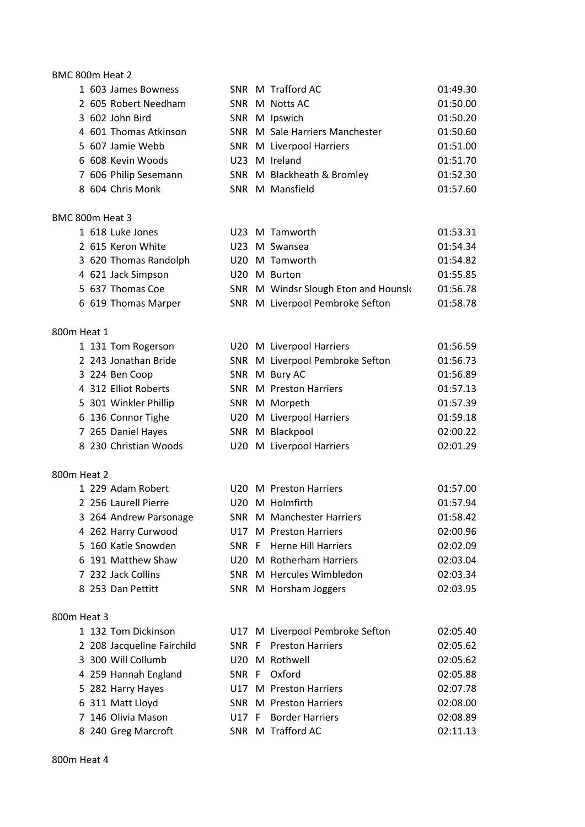# BMC 800m Heat 2

| 1 603 James Bowness   |  | SNR M Trafford AC              | 01:49.30 |
|-----------------------|--|--------------------------------|----------|
| 2 605 Robert Needham  |  | SNR M Notts AC                 | 01:50.00 |
| 3 602 John Bird       |  | SNR M Ipswich                  | 01:50.20 |
| 4 601 Thomas Atkinson |  | SNR M Sale Harriers Manchester | 01:50.60 |
| 5 607 Jamie Webb      |  | SNR M Liverpool Harriers       | 01:51.00 |
| 6 608 Kevin Woods     |  | U23 M Ireland                  | 01:51.70 |
| 7 606 Philip Sesemann |  | SNR M Blackheath & Bromley     | 01:52.30 |
| 8 604 Chris Monk      |  | SNR M Mansfield                | 01:57.60 |

# BMC 800m Heat 3

| 1 618 Luke Jones   |                       |  | U23 M Tamworth                      | 01:53.31 |
|--------------------|-----------------------|--|-------------------------------------|----------|
| 2 615 Keron White  |                       |  | U23 M Swansea                       | 01:54.34 |
|                    | 3 620 Thomas Randolph |  | U20 M Tamworth                      | 01:54.82 |
| 4 621 Jack Simpson |                       |  | U20 M Burton                        | 01:55.85 |
| 5 637 Thomas Coe   |                       |  | SNR M Windsr Slough Eton and Hounsk | 01:56.78 |
|                    | 6 619 Thomas Marper   |  | SNR M Liverpool Pembroke Sefton     | 01:58.78 |
|                    |                       |  |                                     |          |

# 800m Heat 1

|  | 1 131 Tom Rogerson    |  | U20 M Liverpool Harriers        | 01:56.59 |
|--|-----------------------|--|---------------------------------|----------|
|  | 2 243 Jonathan Bride  |  | SNR M Liverpool Pembroke Sefton | 01:56.73 |
|  | 3 224 Ben Coop        |  | SNR M Bury AC                   | 01:56.89 |
|  | 4 312 Elliot Roberts  |  | <b>SNR M Preston Harriers</b>   | 01:57.13 |
|  | 5 301 Winkler Phillip |  | SNR M Morpeth                   | 01:57.39 |
|  | 6 136 Connor Tighe    |  | U20 M Liverpool Harriers        | 01:59.18 |
|  | 7 265 Daniel Hayes    |  | SNR M Blackpool                 | 02:00.22 |
|  | 8 230 Christian Woods |  | U20 M Liverpool Harriers        | 02:01.29 |

#### 800m Heat 2

|  | 1 229 Adam Robert      |  | U20 M Preston Harriers           | 01:57.00 |
|--|------------------------|--|----------------------------------|----------|
|  | 2 256 Laurell Pierre   |  | U20 M Holmfirth                  | 01:57.94 |
|  | 3 264 Andrew Parsonage |  | <b>SNR M Manchester Harriers</b> | 01:58.42 |
|  | 4 262 Harry Curwood    |  | U17 M Preston Harriers           | 02:00.96 |
|  | 5 160 Katie Snowden    |  | SNR F Herne Hill Harriers        | 02:02.09 |
|  | 6 191 Matthew Shaw     |  | U20 M Rotherham Harriers         | 02:03.04 |
|  | 7 232 Jack Collins     |  | SNR M Hercules Wimbledon         | 02:03.34 |
|  | 8 253 Dan Pettitt      |  | SNR M Horsham Joggers            | 02:03.95 |

#### 800m Heat 3

|  | 1 132 Tom Dickinson        |  | U17 M Liverpool Pembroke Sefton | 02:05.40 |
|--|----------------------------|--|---------------------------------|----------|
|  | 2 208 Jacqueline Fairchild |  | SNR F Preston Harriers          | 02:05.62 |
|  | 3 300 Will Collumb         |  | U20 M Rothwell                  | 02:05.62 |
|  | 4 259 Hannah England       |  | SNR F Oxford                    | 02:05.88 |
|  | 5 282 Harry Hayes          |  | U17 M Preston Harriers          | 02:07.78 |
|  | 6 311 Matt Lloyd           |  | <b>SNR M Preston Harriers</b>   | 02:08.00 |
|  | 7 146 Olivia Mason         |  | U17 F Border Harriers           | 02:08.89 |
|  | 8 240 Greg Marcroft        |  | SNR M Trafford AC               | 02:11.13 |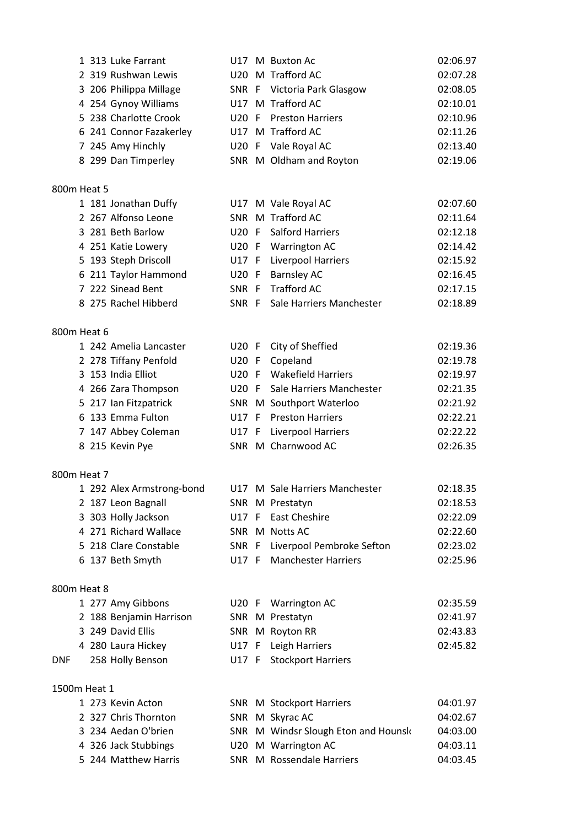| 1 313 Luke Farrant      |  | U17 M Buxton Ac             | 02:06.97 |
|-------------------------|--|-----------------------------|----------|
| 2 319 Rushwan Lewis     |  | U20 M Trafford AC           | 02:07.28 |
| 3 206 Philippa Millage  |  | SNR F Victoria Park Glasgow | 02:08.05 |
| 4 254 Gynoy Williams    |  | U17 M Trafford AC           | 02:10.01 |
| 5 238 Charlotte Crook   |  | U20 F Preston Harriers      | 02:10.96 |
| 6 241 Connor Fazakerley |  | U17 M Trafford AC           | 02:11.26 |
| 7 245 Amy Hinchly       |  | U20 F Vale Royal AC         | 02:13.40 |
| 8 299 Dan Timperley     |  | SNR M Oldham and Royton     | 02:19.06 |
|                         |  |                             |          |

# 800m Heat 5

|  | 1 181 Jonathan Duffy |  | U17 M Vale Royal AC            | 02:07.60 |
|--|----------------------|--|--------------------------------|----------|
|  | 2 267 Alfonso Leone  |  | SNR M Trafford AC              | 02:11.64 |
|  | 3 281 Beth Barlow    |  | U20 F Salford Harriers         | 02:12.18 |
|  | 4 251 Katie Lowery   |  | U20 F Warrington AC            | 02:14.42 |
|  | 5 193 Steph Driscoll |  | U17 F Liverpool Harriers       | 02:15.92 |
|  | 6 211 Taylor Hammond |  | U20 F Barnsley AC              | 02:16.45 |
|  | 7 222 Sinead Bent    |  | SNR F Trafford AC              | 02:17.15 |
|  | 8 275 Rachel Hibberd |  | SNR F Sale Harriers Manchester | 02:18.89 |
|  |                      |  |                                |          |

#### 800m Heat 6

|  | 1 242 Amelia Lancaster |  | U20 F City of Sheffied         | 02:19.36 |
|--|------------------------|--|--------------------------------|----------|
|  | 2 278 Tiffany Penfold  |  | U20 F Copeland                 | 02:19.78 |
|  | 3 153 India Elliot     |  | U20 F Wakefield Harriers       | 02:19.97 |
|  | 4 266 Zara Thompson    |  | U20 F Sale Harriers Manchester | 02:21.35 |
|  | 5 217 Ian Fitzpatrick  |  | SNR M Southport Waterloo       | 02:21.92 |
|  | 6 133 Emma Fulton      |  | U17 F Preston Harriers         | 02:22.21 |
|  | 7 147 Abbey Coleman    |  | U17 F Liverpool Harriers       | 02:22.22 |
|  | 8 215 Kevin Pye        |  | SNR M Charnwood AC             | 02:26.35 |
|  |                        |  |                                |          |

#### 800m Heat 7

|  | 1 292 Alex Armstrong-bond |  | U17 M Sale Harriers Manchester  | 02:18.35 |
|--|---------------------------|--|---------------------------------|----------|
|  | 2 187 Leon Bagnall        |  | SNR M Prestatyn                 | 02:18.53 |
|  | 3 303 Holly Jackson       |  | U17 F East Cheshire             | 02:22.09 |
|  | 4 271 Richard Wallace     |  | SNR M Notts AC                  | 02:22.60 |
|  | 5 218 Clare Constable     |  | SNR F Liverpool Pembroke Sefton | 02:23.02 |
|  | 6 137 Beth Smyth          |  | U17 F Manchester Harriers       | 02:25.96 |
|  |                           |  |                                 |          |

# 800m Heat 8

|            | 1 277 Amy Gibbons       |  | U20 F Warrington AC      | 02:35.59 |
|------------|-------------------------|--|--------------------------|----------|
|            | 2 188 Benjamin Harrison |  | SNR M Prestatyn          | 02:41.97 |
|            | 3 249 David Ellis       |  | SNR M Royton RR          | 02:43.83 |
|            | 4 280 Laura Hickey      |  | U17 F Leigh Harriers     | 02:45.82 |
| <b>DNF</b> | 258 Holly Benson        |  | U17 F Stockport Harriers |          |

# 1500m Heat 1

| 1 273 Kevin Acton    |  | SNR M Stockport Harriers            | 04:01.97 |
|----------------------|--|-------------------------------------|----------|
| 2 327 Chris Thornton |  | SNR M Skyrac AC                     | 04:02.67 |
| 3 234 Aedan O'brien  |  | SNR M Windsr Slough Eton and Hounsk | 04:03.00 |
| 4 326 Jack Stubbings |  | U20 M Warrington AC                 | 04:03.11 |
| 5 244 Matthew Harris |  | SNR M Rossendale Harriers           | 04:03.45 |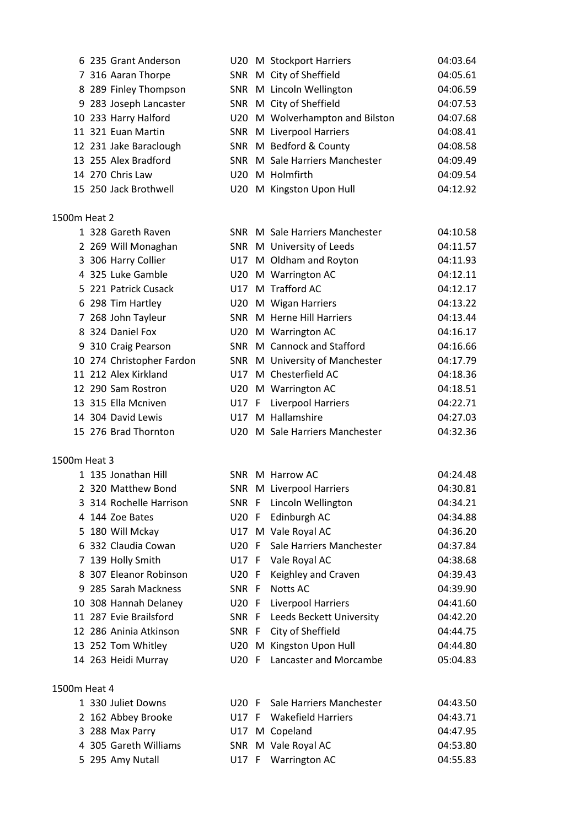|              | 6 235 Grant Anderson   |     | U20 M Stockport Harriers        | 04:03.64 |
|--------------|------------------------|-----|---------------------------------|----------|
|              | 7 316 Aaran Thorpe     |     | SNR M City of Sheffield         | 04:05.61 |
|              | 8 289 Finley Thompson  |     | SNR M Lincoln Wellington        | 04:06.59 |
|              | 9 283 Joseph Lancaster |     | SNR M City of Sheffield         | 04:07.53 |
|              | 10 233 Harry Halford   |     | U20 M Wolverhampton and Bilston | 04:07.68 |
|              | 11 321 Euan Martin     |     | SNR M Liverpool Harriers        | 04:08.41 |
|              | 12 231 Jake Baraclough |     | SNR M Bedford & County          | 04:08.58 |
|              | 13 255 Alex Bradford   |     | SNR M Sale Harriers Manchester  | 04:09.49 |
|              | 14 270 Chris Law       |     | U20 M Holmfirth                 | 04:09.54 |
|              | 15 250 Jack Brothwell  |     | U20 M Kingston Upon Hull        | 04:12.92 |
| 1500m Heat 2 |                        |     |                                 |          |
|              | 1 328 Gareth Raven     |     | SNR M Sale Harriers Manchester  | 04:10.58 |
|              | 2 269 Will Monaghan    |     | SNR M University of Leeds       | 04:11.57 |
|              | 3 306 Harry Collier    |     | U17 M Oldham and Royton         | 04:11.93 |
|              | 4 325 Luke Gamble      |     | U20 M Warrington AC             | 04:12.11 |
|              | 5 221 Patrick Cusack   | U17 | M Trafford AC                   | 04:12.17 |
|              | 6 298 Tim Hartley      | U20 | M Wigan Harriers                | 04:13.22 |
|              | 7 268 John Tayleur     |     | SNR M Herne Hill Harriers       | 04:13.44 |

- 8 324 Daniel Fox U20 M Warrington AC 04:16.17 310 Craig Pearson SNR M Cannock and Stafford 04:16.66 274 Christopher Fardon SNR M University of Manchester 04:17.79 212 Alex Kirkland U17 M Chesterfield AC 04:18.36 290 Sam Rostron U20 M Warrington AC 04:18.51 315 Ella Mcniven U17 F Liverpool Harriers 04:22.71 304 David Lewis U17 M Hallamshire 04:27.03
- 276 Brad Thornton U20 M Sale Harriers Manchester 04:32.36

#### 1500m Heat 3

 135 Jonathan Hill SNR M Harrow AC 04:24.48 320 Matthew Bond SNR M Liverpool Harriers 04:30.81 314 Rochelle Harrison SNR F Lincoln Wellington 04:34.21 144 Zoe Bates U20 F Edinburgh AC 04:34.88 180 Will Mckay U17 M Vale Royal AC 04:36.20 332 Claudia Cowan U20 F Sale Harriers Manchester 04:37.84 139 Holly Smith U17 F Vale Royal AC 04:38.68 307 Eleanor Robinson U20 F Keighley and Craven 04:39.43 285 Sarah Mackness SNR F Notts AC 04:39.90 308 Hannah Delaney U20 F Liverpool Harriers 04:41.60 287 Evie Brailsford SNR F Leeds Beckett University 04:42.20 286 Aninia Atkinson SNR F City of Sheffield 04:44.75 252 Tom Whitley U20 M Kingston Upon Hull 04:44.80 263 Heidi Murray U20 F Lancaster and Morcambe 05:04.83

1 330 Juliet Downs 2 162 Abbey Brooke 3 288 Max Parry 4 305 Gareth Williams 5 295 Amy Nutall

#### 1500m Heat 4

|  | U20 F Sale Harriers Manchester | 04:43.50 |
|--|--------------------------------|----------|
|  | U17 F Wakefield Harriers       | 04:43.71 |
|  | U17 M Copeland                 | 04:47.95 |
|  | SNR M Vale Royal AC            | 04:53.80 |
|  | U17 F Warrington AC            | 04:55.83 |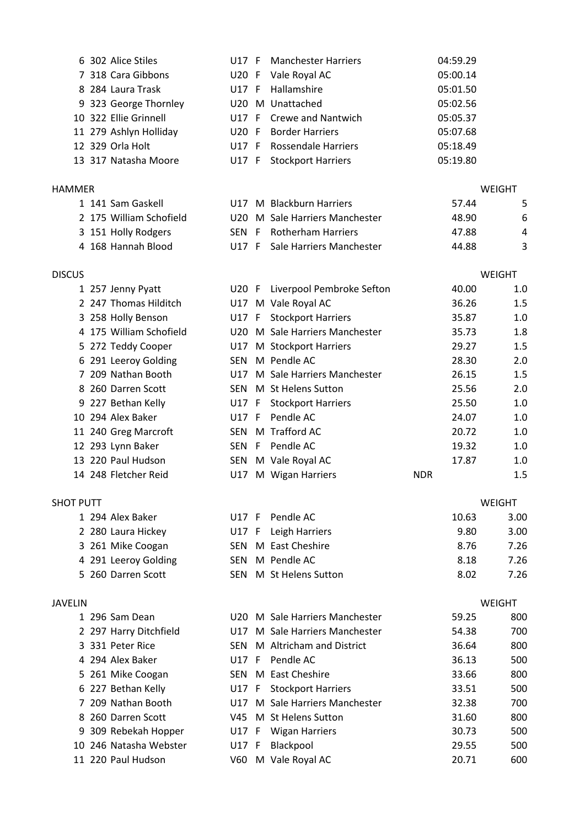|                  | 6 302 Alice Stiles      | U17 F      | <b>Manchester Harriers</b>     | 04:59.29   |               |
|------------------|-------------------------|------------|--------------------------------|------------|---------------|
|                  | 7 318 Cara Gibbons      | U20 F      | Vale Royal AC                  | 05:00.14   |               |
|                  | 8 284 Laura Trask       | U17 F      | Hallamshire                    | 05:01.50   |               |
|                  | 9 323 George Thornley   |            | U20 M Unattached               | 05:02.56   |               |
|                  | 10 322 Ellie Grinnell   | U17 F      | <b>Crewe and Nantwich</b>      | 05:05.37   |               |
|                  | 11 279 Ashlyn Holliday  | U20 F      | <b>Border Harriers</b>         | 05:07.68   |               |
|                  | 12 329 Orla Holt        | U17 F      | <b>Rossendale Harriers</b>     | 05:18.49   |               |
|                  | 13 317 Natasha Moore    | U17 F      | <b>Stockport Harriers</b>      | 05:19.80   |               |
|                  |                         |            |                                |            |               |
| <b>HAMMER</b>    |                         |            |                                |            | <b>WEIGHT</b> |
|                  | 1 141 Sam Gaskell       |            | U17 M Blackburn Harriers       | 57.44      | 5             |
|                  | 2 175 William Schofield | U20        | M Sale Harriers Manchester     | 48.90      | 6             |
|                  | 3 151 Holly Rodgers     | SEN F      | <b>Rotherham Harriers</b>      | 47.88      | 4             |
|                  | 4 168 Hannah Blood      | U17 F      | Sale Harriers Manchester       | 44.88      | 3             |
|                  |                         |            |                                |            |               |
| <b>DISCUS</b>    |                         |            |                                |            | <b>WEIGHT</b> |
|                  | 1 257 Jenny Pyatt       | $U20$ F    | Liverpool Pembroke Sefton      | 40.00      | 1.0           |
|                  | 2 247 Thomas Hilditch   |            | U17 M Vale Royal AC            | 36.26      | 1.5           |
|                  | 3 258 Holly Benson      |            | U17 F Stockport Harriers       | 35.87      | 1.0           |
|                  | 4 175 William Schofield |            | U20 M Sale Harriers Manchester | 35.73      | 1.8           |
|                  | 5 272 Teddy Cooper      | U17        | M Stockport Harriers           | 29.27      | 1.5           |
|                  | 6 291 Leeroy Golding    | SEN        | M Pendle AC                    | 28.30      | 2.0           |
|                  | 7 209 Nathan Booth      | U17        | M Sale Harriers Manchester     | 26.15      | 1.5           |
|                  | 8 260 Darren Scott      | SEN        | M St Helens Sutton             | 25.56      | 2.0           |
|                  | 9 227 Bethan Kelly      |            | U17 F Stockport Harriers       | 25.50      | 1.0           |
|                  | 10 294 Alex Baker       | U17 F      | Pendle AC                      | 24.07      | 1.0           |
|                  | 11 240 Greg Marcroft    |            | SEN M Trafford AC              | 20.72      | 1.0           |
|                  | 12 293 Lynn Baker       |            | SEN F Pendle AC                | 19.32      | 1.0           |
|                  | 13 220 Paul Hudson      | SEN        | M Vale Royal AC                | 17.87      | 1.0           |
|                  | 14 248 Fletcher Reid    | U17        | M Wigan Harriers               | <b>NDR</b> | 1.5           |
|                  |                         |            |                                |            |               |
| <b>SHOT PUTT</b> |                         |            |                                |            | WEIGHT        |
|                  | 1 294 Alex Baker        | U17 F      | Pendle AC                      | 10.63      | 3.00          |
|                  | 2 280 Laura Hickey      | U17 F      | Leigh Harriers                 | 9.80       | 3.00          |
|                  | 3 261 Mike Coogan       | SEN        | M East Cheshire                | 8.76       | 7.26          |
|                  | 4 291 Leeroy Golding    | SEN        | M Pendle AC                    | 8.18       | 7.26          |
|                  | 5 260 Darren Scott      | <b>SEN</b> | M St Helens Sutton             | 8.02       | 7.26          |
|                  |                         |            |                                |            |               |
| <b>JAVELIN</b>   |                         |            |                                |            | <b>WEIGHT</b> |
|                  | 1 296 Sam Dean          | U20        | M Sale Harriers Manchester     | 59.25      | 800           |
|                  | 2 297 Harry Ditchfield  | U17        | M Sale Harriers Manchester     | 54.38      | 700           |
|                  | 3 331 Peter Rice        | <b>SEN</b> | M Altricham and District       | 36.64      | 800           |
|                  | 4 294 Alex Baker        | U17 F      | Pendle AC                      | 36.13      | 500           |
| 5                | 261 Mike Coogan         |            | SEN M East Cheshire            | 33.66      | 800           |
|                  | 6 227 Bethan Kelly      | U17 F      | <b>Stockport Harriers</b>      | 33.51      | 500           |
|                  | 7 209 Nathan Booth      | U17        | M Sale Harriers Manchester     | 32.38      | 700           |
| 8                | 260 Darren Scott        | V45        | M St Helens Sutton             | 31.60      | 800           |
| 9                | 309 Rebekah Hopper      | U17 F      | <b>Wigan Harriers</b>          | 30.73      | 500           |
|                  | 10 246 Natasha Webster  | U17 F      | Blackpool                      | 29.55      | 500           |
|                  | 11 220 Paul Hudson      | V60        | M Vale Royal AC                | 20.71      | 600           |
|                  |                         |            |                                |            |               |